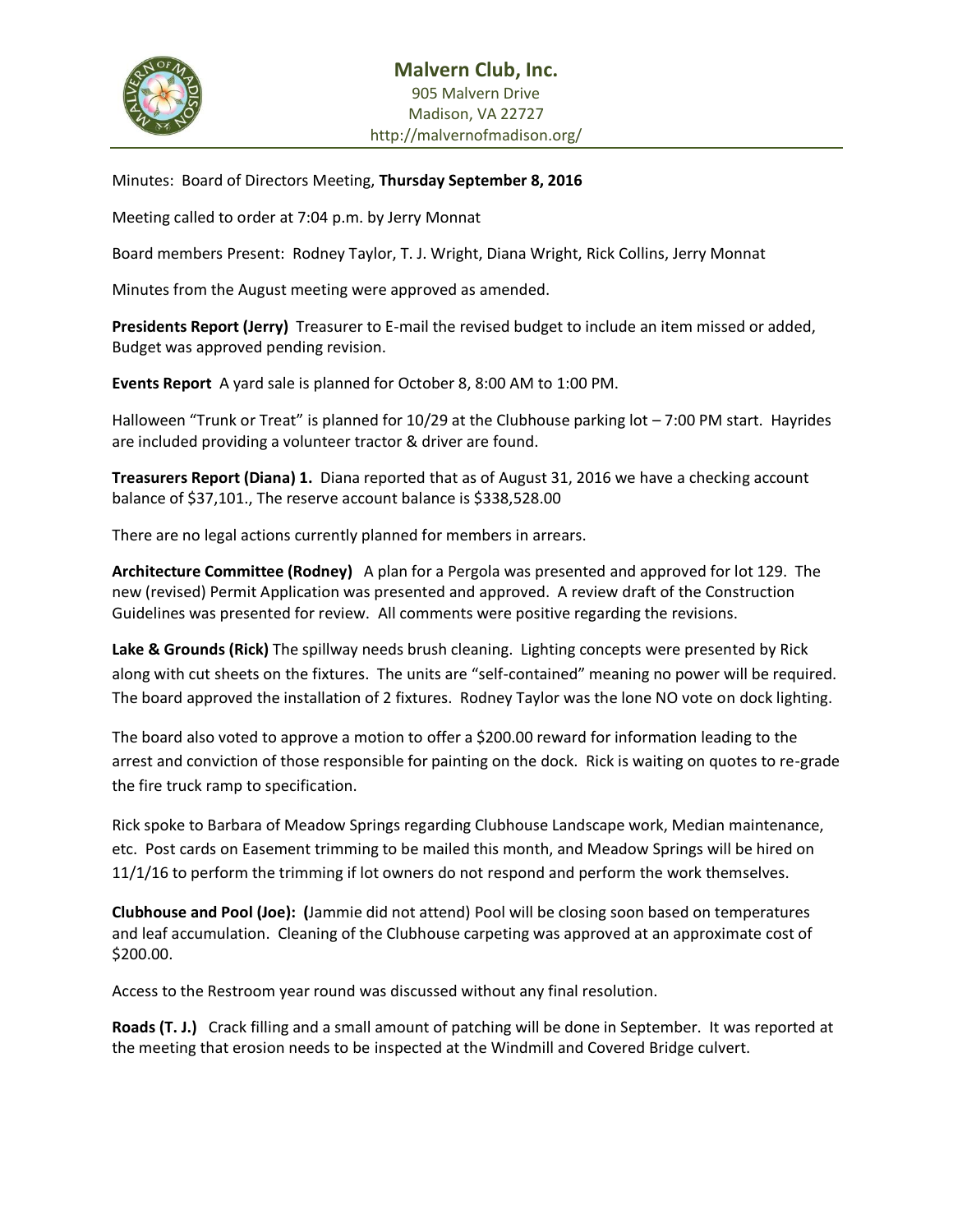

Minutes: Board of Directors Meeting, **Thursday September 8, 2016**

Meeting called to order at 7:04 p.m. by Jerry Monnat

Board members Present: Rodney Taylor, T. J. Wright, Diana Wright, Rick Collins, Jerry Monnat

Minutes from the August meeting were approved as amended.

**Presidents Report (Jerry)** Treasurer to E-mail the revised budget to include an item missed or added, Budget was approved pending revision.

**Events Report** A yard sale is planned for October 8, 8:00 AM to 1:00 PM.

Halloween "Trunk or Treat" is planned for 10/29 at the Clubhouse parking lot – 7:00 PM start. Hayrides are included providing a volunteer tractor & driver are found.

**Treasurers Report (Diana) 1.** Diana reported that as of August 31, 2016 we have a checking account balance of \$37,101., The reserve account balance is \$338,528.00

There are no legal actions currently planned for members in arrears.

**Architecture Committee (Rodney)** A plan for a Pergola was presented and approved for lot 129. The new (revised) Permit Application was presented and approved. A review draft of the Construction Guidelines was presented for review. All comments were positive regarding the revisions.

**Lake & Grounds (Rick)** The spillway needs brush cleaning. Lighting concepts were presented by Rick along with cut sheets on the fixtures. The units are "self-contained" meaning no power will be required. The board approved the installation of 2 fixtures. Rodney Taylor was the lone NO vote on dock lighting.

The board also voted to approve a motion to offer a \$200.00 reward for information leading to the arrest and conviction of those responsible for painting on the dock. Rick is waiting on quotes to re-grade the fire truck ramp to specification.

Rick spoke to Barbara of Meadow Springs regarding Clubhouse Landscape work, Median maintenance, etc. Post cards on Easement trimming to be mailed this month, and Meadow Springs will be hired on 11/1/16 to perform the trimming if lot owners do not respond and perform the work themselves.

**Clubhouse and Pool (Joe): (**Jammie did not attend) Pool will be closing soon based on temperatures and leaf accumulation. Cleaning of the Clubhouse carpeting was approved at an approximate cost of \$200.00.

Access to the Restroom year round was discussed without any final resolution.

**Roads (T. J.)** Crack filling and a small amount of patching will be done in September. It was reported at the meeting that erosion needs to be inspected at the Windmill and Covered Bridge culvert.